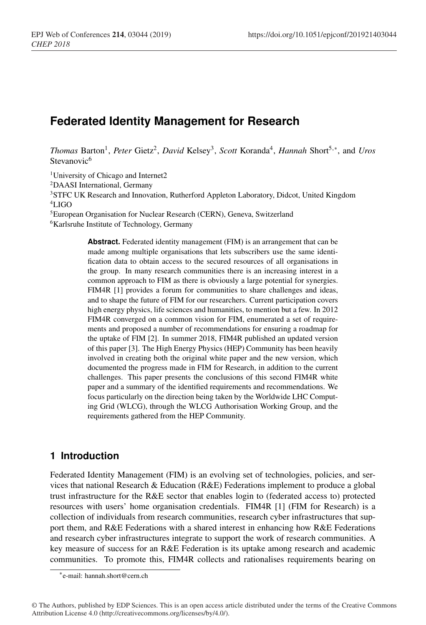# **Federated Identity Management for Research**

*Thomas* Barton1, *Peter* Gietz2, *David* Kelsey3, *Scott* Koranda4, *Hannah* Short5,∗, and *Uros* Stevanovic<sup>6</sup>

<sup>1</sup>University of Chicago and Internet2

2DAASI International, Germany

<sup>3</sup>STFC UK Research and Innovation, Rutherford Appleton Laboratory, Didcot, United Kingdom 4LIGO

5European Organisation for Nuclear Research (CERN), Geneva, Switzerland

<sup>6</sup>Karlsruhe Institute of Technology, Germany

**Abstract.** Federated identity management (FIM) is an arrangement that can be made among multiple organisations that lets subscribers use the same identification data to obtain access to the secured resources of all organisations in the group. In many research communities there is an increasing interest in a common approach to FIM as there is obviously a large potential for synergies. FIM4R [1] provides a forum for communities to share challenges and ideas, and to shape the future of FIM for our researchers. Current participation covers high energy physics, life sciences and humanities, to mention but a few. In 2012 FIM4R converged on a common vision for FIM, enumerated a set of requirements and proposed a number of recommendations for ensuring a roadmap for the uptake of FIM [2]. In summer 2018, FIM4R published an updated version of this paper [3]. The High Energy Physics (HEP) Community has been heavily involved in creating both the original white paper and the new version, which documented the progress made in FIM for Research, in addition to the current challenges. This paper presents the conclusions of this second FIM4R white paper and a summary of the identified requirements and recommendations. We focus particularly on the direction being taken by the Worldwide LHC Computing Grid (WLCG), through the WLCG Authorisation Working Group, and the requirements gathered from the HEP Community.

### **1 Introduction**

Federated Identity Management (FIM) is an evolving set of technologies, policies, and services that national Research & Education (R&E) Federations implement to produce a global trust infrastructure for the R&E sector that enables login to (federated access to) protected resources with users' home organisation credentials. FIM4R [1] (FIM for Research) is a collection of individuals from research communities, research cyber infrastructures that support them, and R&E Federations with a shared interest in enhancing how R&E Federations and research cyber infrastructures integrate to support the work of research communities. A key measure of success for an R&E Federation is its uptake among research and academic communities. To promote this, FIM4R collects and rationalises requirements bearing on

<sup>∗</sup>e-mail: hannah.short@cern.ch

<sup>©</sup> The Authors, published by EDP Sciences. This is an open access article distributed under the terms of the Creative Commons Attribution License 4.0 (http://creativecommons.org/licenses/by/4.0/).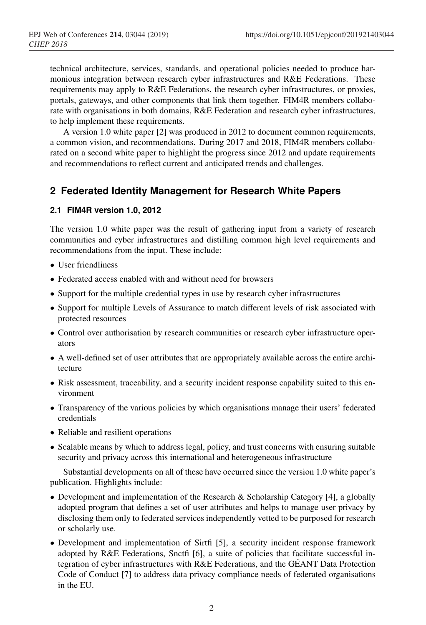technical architecture, services, standards, and operational policies needed to produce harmonious integration between research cyber infrastructures and R&E Federations. These requirements may apply to R&E Federations, the research cyber infrastructures, or proxies, portals, gateways, and other components that link them together. FIM4R members collaborate with organisations in both domains, R&E Federation and research cyber infrastructures, to help implement these requirements.

A version 1.0 white paper [2] was produced in 2012 to document common requirements, a common vision, and recommendations. During 2017 and 2018, FIM4R members collaborated on a second white paper to highlight the progress since 2012 and update requirements and recommendations to reflect current and anticipated trends and challenges.

### **2 Federated Identity Management for Research White Papers**

#### **2.1 FIM4R version 1.0, 2012**

The version 1.0 white paper was the result of gathering input from a variety of research communities and cyber infrastructures and distilling common high level requirements and recommendations from the input. These include:

- User friendliness
- Federated access enabled with and without need for browsers
- Support for the multiple credential types in use by research cyber infrastructures
- Support for multiple Levels of Assurance to match different levels of risk associated with protected resources
- Control over authorisation by research communities or research cyber infrastructure operators
- A well-defined set of user attributes that are appropriately available across the entire architecture
- Risk assessment, traceability, and a security incident response capability suited to this environment
- Transparency of the various policies by which organisations manage their users' federated credentials
- Reliable and resilient operations
- Scalable means by which to address legal, policy, and trust concerns with ensuring suitable security and privacy across this international and heterogeneous infrastructure

Substantial developments on all of these have occurred since the version 1.0 white paper's publication. Highlights include:

- Development and implementation of the Research & Scholarship Category [4], a globally adopted program that defines a set of user attributes and helps to manage user privacy by disclosing them only to federated services independently vetted to be purposed for research or scholarly use.
- Development and implementation of Sirtfi [5], a security incident response framework adopted by R&E Federations, Snctfi [6], a suite of policies that facilitate successful integration of cyber infrastructures with R&E Federations, and the GÉANT Data Protection Code of Conduct [7] to address data privacy compliance needs of federated organisations in the EU.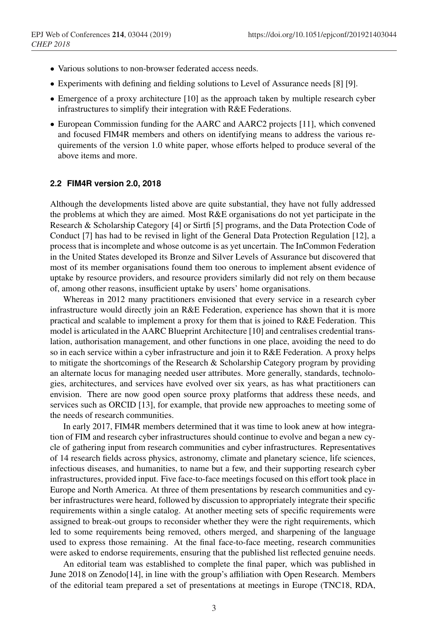- Various solutions to non-browser federated access needs.
- Experiments with defining and fielding solutions to Level of Assurance needs [8] [9].
- Emergence of a proxy architecture [10] as the approach taken by multiple research cyber infrastructures to simplify their integration with R&E Federations.
- European Commission funding for the AARC and AARC2 projects [11], which convened and focused FIM4R members and others on identifying means to address the various requirements of the version 1.0 white paper, whose efforts helped to produce several of the above items and more.

#### **2.2 FIM4R version 2.0, 2018**

Although the developments listed above are quite substantial, they have not fully addressed the problems at which they are aimed. Most R&E organisations do not yet participate in the Research & Scholarship Category [4] or Sirtfi [5] programs, and the Data Protection Code of Conduct [7] has had to be revised in light of the General Data Protection Regulation [12], a process that is incomplete and whose outcome is as yet uncertain. The InCommon Federation in the United States developed its Bronze and Silver Levels of Assurance but discovered that most of its member organisations found them too onerous to implement absent evidence of uptake by resource providers, and resource providers similarly did not rely on them because of, among other reasons, insufficient uptake by users' home organisations.

Whereas in 2012 many practitioners envisioned that every service in a research cyber infrastructure would directly join an R&E Federation, experience has shown that it is more practical and scalable to implement a proxy for them that is joined to R&E Federation. This model is articulated in the AARC Blueprint Architecture [10] and centralises credential translation, authorisation management, and other functions in one place, avoiding the need to do so in each service within a cyber infrastructure and join it to R&E Federation. A proxy helps to mitigate the shortcomings of the Research & Scholarship Category program by providing an alternate locus for managing needed user attributes. More generally, standards, technologies, architectures, and services have evolved over six years, as has what practitioners can envision. There are now good open source proxy platforms that address these needs, and services such as ORCID [13], for example, that provide new approaches to meeting some of the needs of research communities.

In early 2017, FIM4R members determined that it was time to look anew at how integration of FIM and research cyber infrastructures should continue to evolve and began a new cycle of gathering input from research communities and cyber infrastructures. Representatives of 14 research fields across physics, astronomy, climate and planetary science, life sciences, infectious diseases, and humanities, to name but a few, and their supporting research cyber infrastructures, provided input. Five face-to-face meetings focused on this effort took place in Europe and North America. At three of them presentations by research communities and cyber infrastructures were heard, followed by discussion to appropriately integrate their specific requirements within a single catalog. At another meeting sets of specific requirements were assigned to break-out groups to reconsider whether they were the right requirements, which led to some requirements being removed, others merged, and sharpening of the language used to express those remaining. At the final face-to-face meeting, research communities were asked to endorse requirements, ensuring that the published list reflected genuine needs.

An editorial team was established to complete the final paper, which was published in June 2018 on Zenodo[14], in line with the group's affiliation with Open Research. Members of the editorial team prepared a set of presentations at meetings in Europe (TNC18, RDA,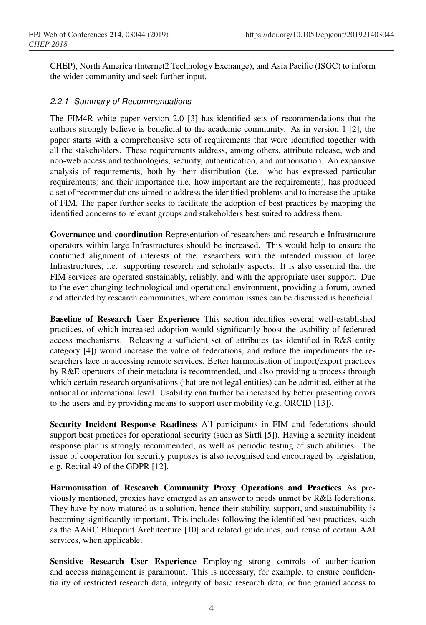CHEP), North America (Internet2 Technology Exchange), and Asia Pacific (ISGC) to inform the wider community and seek further input.

#### *2.2.1 Summary of Recommendations*

The FIM4R white paper version 2.0 [3] has identified sets of recommendations that the authors strongly believe is beneficial to the academic community. As in version 1 [2], the paper starts with a comprehensive sets of requirements that were identified together with all the stakeholders. These requirements address, among others, attribute release, web and non-web access and technologies, security, authentication, and authorisation. An expansive analysis of requirements, both by their distribution (i.e. who has expressed particular requirements) and their importance (i.e. how important are the requirements), has produced a set of recommendations aimed to address the identified problems and to increase the uptake of FIM. The paper further seeks to facilitate the adoption of best practices by mapping the identified concerns to relevant groups and stakeholders best suited to address them.

Governance and coordination Representation of researchers and research e-Infrastructure operators within large Infrastructures should be increased. This would help to ensure the continued alignment of interests of the researchers with the intended mission of large Infrastructures, i.e. supporting research and scholarly aspects. It is also essential that the FIM services are operated sustainably, reliably, and with the appropriate user support. Due to the ever changing technological and operational environment, providing a forum, owned and attended by research communities, where common issues can be discussed is beneficial.

Baseline of Research User Experience This section identifies several well-established practices, of which increased adoption would significantly boost the usability of federated access mechanisms. Releasing a sufficient set of attributes (as identified in R&S entity category [4]) would increase the value of federations, and reduce the impediments the researchers face in accessing remote services. Better harmonisation of import/export practices by R&E operators of their metadata is recommended, and also providing a process through which certain research organisations (that are not legal entities) can be admitted, either at the national or international level. Usability can further be increased by better presenting errors to the users and by providing means to support user mobility (e.g. ORCID [13]).

Security Incident Response Readiness All participants in FIM and federations should support best practices for operational security (such as Sirtfi [5]). Having a security incident response plan is strongly recommended, as well as periodic testing of such abilities. The issue of cooperation for security purposes is also recognised and encouraged by legislation, e.g. Recital 49 of the GDPR [12].

Harmonisation of Research Community Proxy Operations and Practices As previously mentioned, proxies have emerged as an answer to needs unmet by R&E federations. They have by now matured as a solution, hence their stability, support, and sustainability is becoming significantly important. This includes following the identified best practices, such as the AARC Blueprint Architecture [10] and related guidelines, and reuse of certain AAI services, when applicable.

Sensitive Research User Experience Employing strong controls of authentication and access management is paramount. This is necessary, for example, to ensure confidentiality of restricted research data, integrity of basic research data, or fine grained access to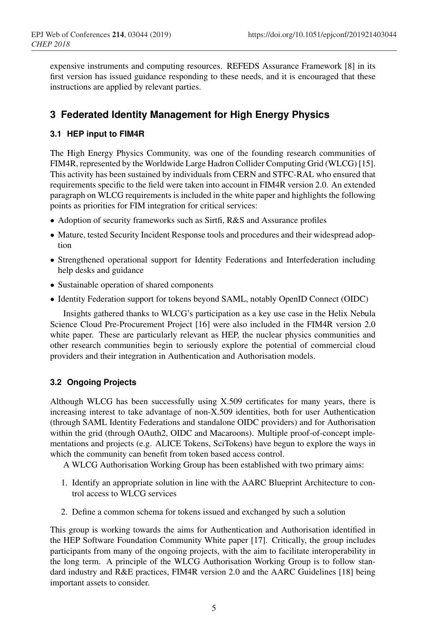expensive instruments and computing resources. REFEDS Assurance Framework [8] in its first version has issued guidance responding to these needs, and it is encouraged that these instructions are applied by relevant parties.

## **3 Federated Identity Management for High Energy Physics**

### **3.1 HEP input to FIM4R**

The High Energy Physics Community, was one of the founding research communities of FIM4R, represented by the Worldwide Large Hadron Collider Computing Grid (WLCG) [15]. This activity has been sustained by individuals from CERN and STFC-RAL who ensured that requirements specific to the field were taken into account in FIM4R version 2.0. An extended paragraph on WLCG requirements is included in the white paper and highlights the following points as priorities for FIM integration for critical services:

- Adoption of security frameworks such as Sirtfi, R&S and Assurance profiles
- Mature, tested Security Incident Response tools and procedures and their widespread adoption
- Strengthened operational support for Identity Federations and Interfederation including help desks and guidance
- Sustainable operation of shared components
- Identity Federation support for tokens beyond SAML, notably OpenID Connect (OIDC)

Insights gathered thanks to WLCG's participation as a key use case in the Helix Nebula Science Cloud Pre-Procurement Project [16] were also included in the FIM4R version 2.0 white paper. These are particularly relevant as HEP, the nuclear physics communities and other research communities begin to seriously explore the potential of commercial cloud providers and their integration in Authentication and Authorisation models.

#### **3.2 Ongoing Projects**

Although WLCG has been successfully using X.509 certificates for many years, there is increasing interest to take advantage of non-X.509 identities, both for user Authentication (through SAML Identity Federations and standalone OIDC providers) and for Authorisation within the grid (through OAuth2, OIDC and Macaroons). Multiple proof-of-concept implementations and projects (e.g. ALICE Tokens, SciTokens) have begun to explore the ways in which the community can benefit from token based access control.

A WLCG Authorisation Working Group has been established with two primary aims:

- 1. Identify an appropriate solution in line with the AARC Blueprint Architecture to control access to WLCG services
- 2. Define a common schema for tokens issued and exchanged by such a solution

This group is working towards the aims for Authentication and Authorisation identified in the HEP Software Foundation Community White paper [17]. Critically, the group includes participants from many of the ongoing projects, with the aim to facilitate interoperability in the long term. A principle of the WLCG Authorisation Working Group is to follow standard industry and R&E practices, FIM4R version 2.0 and the AARC Guidelines [18] being important assets to consider.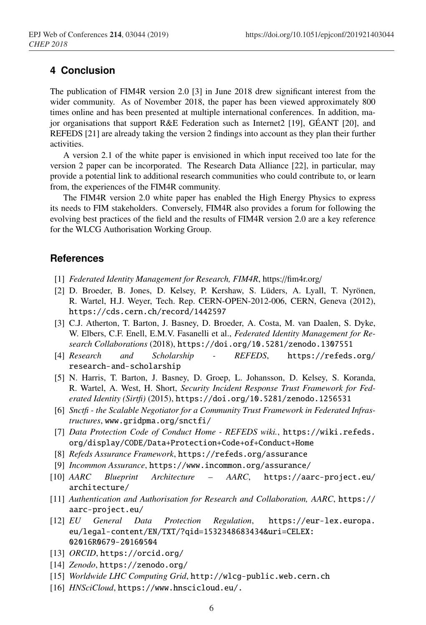### **4 Conclusion**

The publication of FIM4R version 2.0 [3] in June 2018 drew significant interest from the wider community. As of November 2018, the paper has been viewed approximately 800 times online and has been presented at multiple international conferences. In addition, major organisations that support R&E Federation such as Internet2 [19], GÉANT [20], and REFEDS [21] are already taking the version 2 findings into account as they plan their further activities.

A version 2.1 of the white paper is envisioned in which input received too late for the version 2 paper can be incorporated. The Research Data Alliance [22], in particular, may provide a potential link to additional research communities who could contribute to, or learn from, the experiences of the FIM4R community.

The FIM4R version 2.0 white paper has enabled the High Energy Physics to express its needs to FIM stakeholders. Conversely, FIM4R also provides a forum for following the evolving best practices of the field and the results of FIM4R version 2.0 are a key reference for the WLCG Authorisation Working Group.

### **References**

- [1] *Federated Identity Management for Research, FIM4R*, https://fim4r.org/
- [2] D. Broeder, B. Jones, D. Kelsey, P. Kershaw, S. Lüders, A. Lyall, T. Nyrönen, R. Wartel, H.J. Weyer, Tech. Rep. CERN-OPEN-2012-006, CERN, Geneva (2012), https://cds.cern.ch/record/1442597
- [3] C.J. Atherton, T. Barton, J. Basney, D. Broeder, A. Costa, M. van Daalen, S. Dyke, W. Elbers, C.F. Enell, E.M.V. Fasanelli et al., *Federated Identity Management for Research Collaborations* (2018), https://doi.org/10.5281/zenodo.1307551
- [4] *Research and Scholarship REFEDS*, https://refeds.org/ research-and-scholarship
- [5] N. Harris, T. Barton, J. Basney, D. Groep, L. Johansson, D. Kelsey, S. Koranda, R. Wartel, A. West, H. Short, *Security Incident Response Trust Framework for Federated Identity (Sirtfi)* (2015), https://doi.org/10.5281/zenodo.1256531
- [6] *Snctfi the Scalable Negotiator for a Community Trust Framework in Federated Infrastructures*, www.gridpma.org/snctfi/
- [7] *Data Protection Code of Conduct Home REFEDS wiki.*, https://wiki.refeds. org/display/CODE/Data+Protection+Code+of+Conduct+Home
- [8] *Refeds Assurance Framework*, https://refeds.org/assurance
- [9] *Incommon Assurance*, https://www.incommon.org/assurance/
- [10] *AARC Blueprint Architecture AARC*, https://aarc-project.eu/ architecture/
- [11] *Authentication and Authorisation for Research and Collaboration, AARC*, https:// aarc-project.eu/
- [12] *EU General Data Protection Regulation*, https://eur-lex.europa. eu/legal-content/EN/TXT/?qid=1532348683434&uri=CELEX: 02016R0679-20160504
- [13] *ORCID*, https://orcid.org/
- [14] *Zenodo*, https://zenodo.org/
- [15] *Worldwide LHC Computing Grid*, http://wlcg-public.web.cern.ch
- [16] *HNSciCloud*, https://www.hnscicloud.eu/.